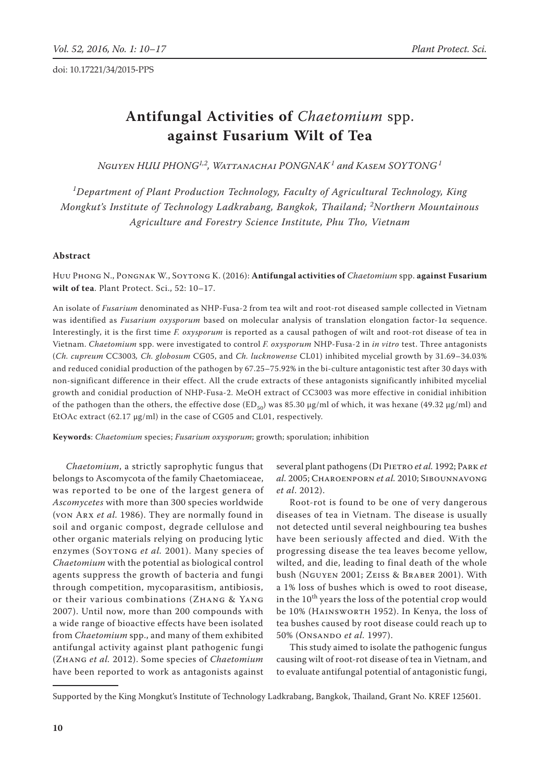# **Antifungal Activities of** *Chaetomium* spp. **against Fusarium Wilt of Tea**

*Nguyen Huu Phong1,2, Wattanachai Pongnak1 and Kasem Soytong<sup>1</sup>*

*1 Department of Plant Production Technology, Faculty of Agricultural Technology, King Mongkut's Institute of Technology Ladkrabang, Bangkok, Thailand; <sup>2</sup> Northern Mountainous Agriculture and Forestry Science Institute, Phu Tho, Vietnam*

## **Abstract**

Huu Phong N., Pongnak W., Soytong K. (2016): **Antifungal activities of** *Chaetomium* spp. **against Fusarium wilt of tea**. Plant Protect. Sci., 52: 10–17.

An isolate of *Fusarium* denominated as NHP-Fusa-2 from tea wilt and root-rot diseased sample collected in Vietnam was identified as *Fusarium oxysporum* based on molecular analysis of translation elongation factor-1α sequence. Interestingly, it is the first time *F. oxysporum* is reported as a causal pathogen of wilt and root-rot disease of tea in Vietnam. *Chaetomium* spp. were investigated to control *F. oxysporum* NHP-Fusa-2 in *in vitro* test. Three antagonists (*Ch. cupreum* CC3003*, Ch. globosum* CG05, and *Ch. lucknowense* CL01) inhibited mycelial growth by 31.69–34.03% and reduced conidial production of the pathogen by 67.25–75.92% in the bi-culture antagonistic test after 30 days with non-significant difference in their effect. All the crude extracts of these antagonists significantly inhibited mycelial growth and conidial production of NHP-Fusa-2. MeOH extract of CC3003 was more effective in conidial inhibition of the pathogen than the others, the effective dose (ED<sub>50</sub>) was 85.30 µg/ml of which, it was hexane (49.32 µg/ml) and EtOAc extract (62.17 μg/ml) in the case of CG05 and CL01, respectively.

**Keywords**: *Chaetomium* species; *Fusarium oxysporum*; growth; sporulation; inhibition

*Chaetomium*, a strictly saprophytic fungus that belongs to Ascomycota of the family Chaetomiaceae, was reported to be one of the largest genera of *Ascomycetes* with more than 300 species worldwide (von Arx *et al.* 1986). They are normally found in soil and organic compost, degrade cellulose and other organic materials relying on producing lytic enzymes (Soytong *et al.* 2001). Many species of *Chaetomium* with the potential as biological control agents suppress the growth of bacteria and fungi through competition, mycoparasitism, antibiosis, or their various combinations (Zhang & Yang 2007). Until now, more than 200 compounds with a wide range of bioactive effects have been isolated from *Chaetomium* spp., and many of them exhibited antifungal activity against plant pathogenic fungi (Zhang *et al.* 2012). Some species of *Chaetomium* have been reported to work as antagonists against several plant pathogens (Di Pietro *et al.* 1992; Park *et al.* 2005; Charoenporn *et al.* 2010; Sibounnavong *et al*. 2012).

Root-rot is found to be one of very dangerous diseases of tea in Vietnam. The disease is usually not detected until several neighbouring tea bushes have been seriously affected and died. With the progressing disease the tea leaves become yellow, wilted, and die, leading to final death of the whole bush (Nguyen 2001; Zeiss & Braber 2001). With a 1% loss of bushes which is owed to root disease, in the  $10^{th}$  years the loss of the potential crop would be 10% (HAINSWORTH 1952). In Kenya, the loss of tea bushes caused by root disease could reach up to 50% (Onsando *et al.* 1997).

This study aimed to isolate the pathogenic fungus causing wilt of root-rot disease of tea in Vietnam, and to evaluate antifungal potential of antagonistic fungi,

Supported by the King Mongkut's Institute of Technology Ladkrabang, Bangkok, Thailand, Grant No. KREF 125601.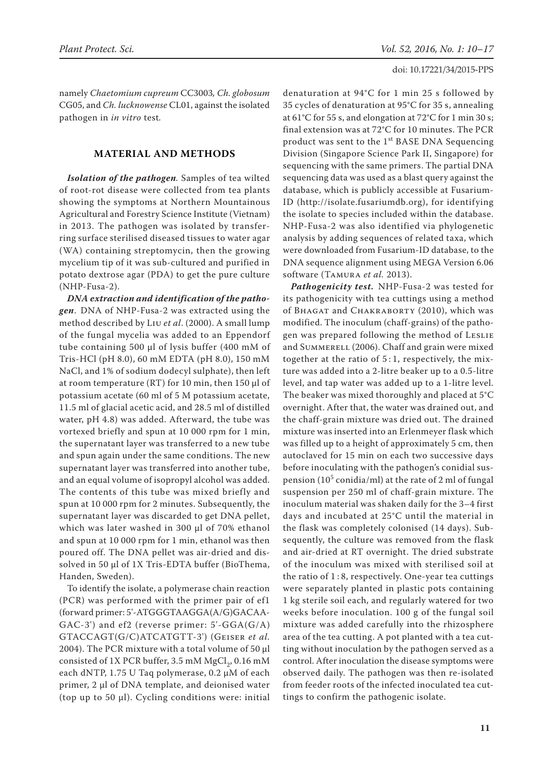namely *Chaetomium cupreum* CC3003*, Ch. globosum*  CG05, and *Ch. lucknowense* CL01, against the isolated pathogen in *in vitro* test*.*

# **MATERIAL AND METHODS**

*Isolation of the pathogen.* Samples of tea wilted of root-rot disease were collected from tea plants showing the symptoms at Northern Mountainous Agricultural and Forestry Science Institute (Vietnam) in 2013. The pathogen was isolated by transferring surface sterilised diseased tissues to water agar (WA) containing streptomycin, then the growing mycelium tip of it was sub-cultured and purified in potato dextrose agar (PDA) to get the pure culture (NHP-Fusa-2).

*DNA extraction and identification of the pathogen*. DNA of NHP-Fusa-2 was extracted using the method described by Liu *et al*. (2000). A small lump of the fungal mycelia was added to an Eppendorf tube containing 500 µl of lysis buffer (400 mM of Tris-HCl (pH 8.0), 60 mM EDTA (pH 8.0), 150 mM NaCl, and 1% of sodium dodecyl sulphate), then left at room temperature (RT) for 10 min, then 150 µl of potassium acetate (60 ml of 5 M potassium acetate, 11.5 ml of glacial acetic acid, and 28.5 ml of distilled water, pH 4.8) was added. Afterward, the tube was vortexed briefly and spun at 10 000 rpm for 1 min, the supernatant layer was transferred to a new tube and spun again under the same conditions. The new supernatant layer was transferred into another tube, and an equal volume of isopropyl alcohol was added. The contents of this tube was mixed briefly and spun at 10 000 rpm for 2 minutes. Subsequently, the supernatant layer was discarded to get DNA pellet, which was later washed in 300 µl of 70% ethanol and spun at 10 000 rpm for 1 min, ethanol was then poured off. The DNA pellet was air-dried and dissolved in 50 µl of 1X Tris-EDTA buffer (BioThema, Handen, Sweden).

To identify the isolate, a polymerase chain reaction (PCR) was performed with the primer pair of ef1 (forward primer: 5'-ATGGGTAAGGA(A/G)GACAA-GAC-3') and ef2 (reverse primer: 5'-GGA(G/A) GTACCAGT(G/C)ATCATGTT-3') (Geiser *et al.* 2004). The PCR mixture with a total volume of 50 µl consisted of 1X PCR buffer, 3.5 mM  $MgCl<sub>2</sub>$ , 0.16 mM each dNTP, 1.75 U Taq polymerase, 0.2 µM of each primer, 2 µl of DNA template, and deionised water (top up to 50  $\mu$ l). Cycling conditions were: initial denaturation at 94°C for 1 min 25 s followed by 35 cycles of denaturation at 95°C for 35 s, annealing at 61°C for 55 s, and elongation at 72°C for 1 min 30 s; final extension was at 72°C for 10 minutes. The PCR product was sent to the 1<sup>st</sup> BASE DNA Sequencing Division (Singapore Science Park II, Singapore) for sequencing with the same primers. The partial DNA sequencing data was used as a blast query against the database, which is publicly accessible at Fusarium-ID (http://isolate.fusariumdb.org), for identifying the isolate to species included within the database. NHP-Fusa-2 was also identified via phylogenetic analysis by adding sequences of related taxa, which were downloaded from Fusarium-ID database, to the DNA sequence alignment using MEGA Version 6.06 software (Tamura *et al.* 2013).

*Pathogenicity test.* NHP-Fusa-2 was tested for its pathogenicity with tea cuttings using a method of BHAGAT and CHAKRABORTY (2010), which was modified. The inoculum (chaff-grains) of the pathogen was prepared following the method of LESLIE and SUMMERELL (2006). Chaff and grain were mixed together at the ratio of  $5:1$ , respectively, the mixture was added into a 2-litre beaker up to a 0.5-litre level, and tap water was added up to a 1-litre level. The beaker was mixed thoroughly and placed at 5°C overnight. After that, the water was drained out, and the chaff-grain mixture was dried out. The drained mixture was inserted into an Erlenmeyer flask which was filled up to a height of approximately 5 cm, then autoclaved for 15 min on each two successive days before inoculating with the pathogen's conidial suspension  $(10^5 \text{ conidia/ml})$  at the rate of 2 ml of fungal suspension per 250 ml of chaff-grain mixture. The inoculum material was shaken daily for the 3–4 first days and incubated at 25°C until the material in the flask was completely colonised (14 days). Subsequently, the culture was removed from the flask and air-dried at RT overnight. The dried substrate of the inoculum was mixed with sterilised soil at the ratio of 1 : 8, respectively. One-year tea cuttings were separately planted in plastic pots containing 1 kg sterile soil each, and regularly watered for two weeks before inoculation. 100 g of the fungal soil mixture was added carefully into the rhizosphere area of the tea cutting. A pot planted with a tea cutting without inoculation by the pathogen served as a control. After inoculation the disease symptoms were observed daily. The pathogen was then re-isolated from feeder roots of the infected inoculated tea cuttings to confirm the pathogenic isolate.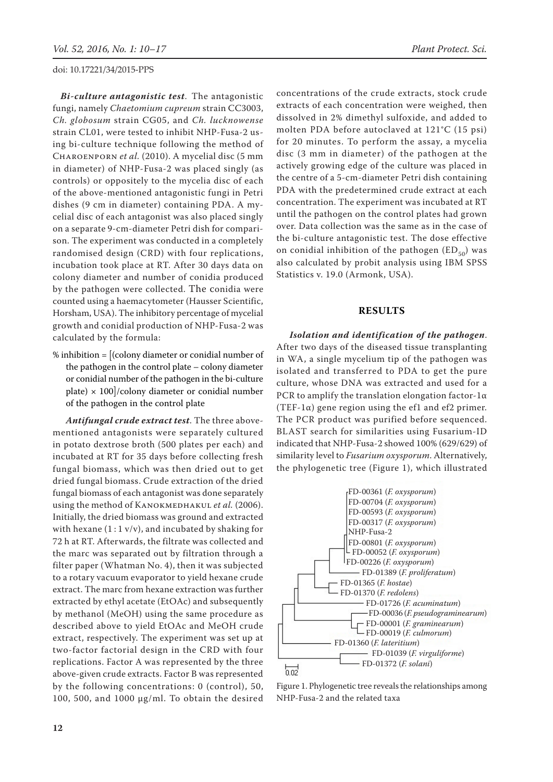*Bi-culture antagonistic test*. The antagonistic fungi, namely *Chaetomium cupreum* strain CC3003, *Ch. globosum* strain CG05, and *Ch. lucknowense* strain CL01, were tested to inhibit NHP-Fusa-2 using bi-culture technique following the method of Charoenporn *et al.* (2010). A mycelial disc (5 mm in diameter) of NHP-Fusa-2 was placed singly (as controls) or oppositely to the mycelia disc of each of the above-mentioned antagonistic fungi in Petri dishes (9 cm in diameter) containing PDA. A mycelial disc of each antagonist was also placed singly on a separate 9-cm-diameter Petri dish for comparison. The experiment was conducted in a completely randomised design (CRD) with four replications, incubation took place at RT. After 30 days data on colony diameter and number of conidia produced by the pathogen were collected. The conidia were counted using a haemacytometer (Hausser Scientific, Horsham, USA). The inhibitory percentage of mycelial growth and conidial production of NHP-Fusa-2 was calculated by the formula:

% inhibition = [(colony diameter or conidial number of the pathogen in the control plate – colony diameter or conidial number of the pathogen in the bi-culture plate)  $\times$  100]/colony diameter or conidial number of the pathogen in the control plate

*Antifungal crude extract test*. The three abovementioned antagonists were separately cultured in potato dextrose broth (500 plates per each) and incubated at RT for 35 days before collecting fresh fungal biomass, which was then dried out to get dried fungal biomass. Crude extraction of the dried fungal biomass of each antagonist was done separately using the method of KANOKMEDHAKUL *et al.* (2006). Initially, the dried biomass was ground and extracted with hexane  $(1:1 \text{ v/v})$ , and incubated by shaking for 72 h at RT. Afterwards, the filtrate was collected and the marc was separated out by filtration through a filter paper (Whatman No. 4), then it was subjected to a rotary vacuum evaporator to yield hexane crude extract. The marc from hexane extraction was further extracted by ethyl acetate (EtOAc) and subsequently by methanol (MeOH) using the same procedure as described above to yield EtOAc and MeOH crude extract, respectively. The experiment was set up at two-factor factorial design in the CRD with four replications. Factor A was represented by the three above-given crude extracts. Factor B was represented by the following concentrations: 0 (control), 50, 100, 500, and 1000 μg/ml. To obtain the desired

concentrations of the crude extracts, stock crude extracts of each concentration were weighed, then dissolved in 2% dimethyl sulfoxide, and added to molten PDA before autoclaved at 121°C (15 psi) for 20 minutes. To perform the assay, a mycelia disc (3 mm in diameter) of the pathogen at the actively growing edge of the culture was placed in the centre of a 5-cm-diameter Petri dish containing PDA with the predetermined crude extract at each concentration. The experiment was incubated at RT until the pathogen on the control plates had grown over. Data collection was the same as in the case of the bi-culture antagonistic test. The dose effective on conidial inhibition of the pathogen  $(ED_{50})$  was also calculated by probit analysis using IBM SPSS Statistics v. 19.0 (Armonk, USA).

# **RESULTS**

*Isolation and identification of the pathogen*. After two days of the diseased tissue transplanting in WA, a single mycelium tip of the pathogen was isolated and transferred to PDA to get the pure culture, whose DNA was extracted and used for a PCR to amplify the translation elongation factor-1 $\alpha$ (TEF-1 $\alpha$ ) gene region using the ef1 and ef2 primer. The PCR product was purified before sequenced. BLAST search for similarities using Fusarium-ID indicated that NHP-Fusa-2 showed 100% (629/629) of similarity level to *Fusarium oxysporum*. Alternatively, the phylogenetic tree (Figure 1), which illustrated



Figure 1. Phylogenetic tree reveals the relationships among NHP-Fusa-2 and the related taxa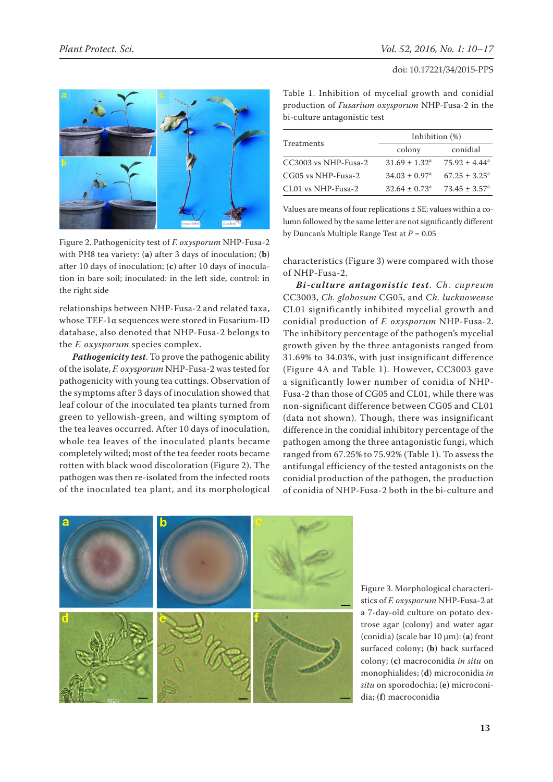

Figure 2. Pathogenicity test of *F. oxysporum* NHP-Fusa-2 with PH8 tea variety: (**a**) after 3 days of inoculation; (**b**) after 10 days of inoculation; (**c**) after 10 days of inoculation in bare soil; inoculated: in the left side, control: in the right side

relationships between NHP-Fusa-2 and related taxa, whose TEF-1α sequences were stored in Fusarium-ID database, also denoted that NHP-Fusa-2 belongs to the *F. oxysporum* species complex.

*Pathogenicity test*. To prove the pathogenic ability of the isolate, *F. oxysporum* NHP-Fusa-2 was tested for pathogenicity with young tea cuttings. Observation of the symptoms after 3 days of inoculation showed that leaf colour of the inoculated tea plants turned from green to yellowish-green, and wilting symptom of the tea leaves occurred. After 10 days of inoculation, whole tea leaves of the inoculated plants became completely wilted; most of the tea feeder roots became rotten with black wood discoloration (Figure 2). The pathogen was then re-isolated from the infected roots of the inoculated tea plant, and its morphological

Table 1. Inhibition of mycelial growth and conidial production of *Fusarium oxysporum* NHP-Fusa-2 in the bi-culture antagonistic test

|                        | Inhibition $(\%)$             |                          |  |  |
|------------------------|-------------------------------|--------------------------|--|--|
| Treatments             | colony                        | conidial                 |  |  |
| $CC3003$ vs NHP-Fusa-2 | $31.69 \pm 1.32^a$            | $75.92 \pm 4.44^a$       |  |  |
| CG05 vs NHP-Fusa-2     | $34.03 \pm 0.97$ <sup>a</sup> | $67.25 + 3.25^a$         |  |  |
| CL01 vs NHP-Fusa-2     | $32.64 \pm 0.73$ <sup>a</sup> | $73.45 \pm 3.57^{\circ}$ |  |  |

Values are means of four replications  $\pm$  SE; values within a column followed by the same letter are not significantly different by Duncan's Multiple Range Test at *P* = 0.05

characteristics (Figure 3) were compared with those of NHP-Fusa-2.

*Bi-culture antagonistic test*. *Ch. cupreum*  CC3003, *Ch. globosum* CG05, and *Ch. lucknowense*  CL01 significantly inhibited mycelial growth and conidial production of *F. oxysporum* NHP-Fusa-2. The inhibitory percentage of the pathogen's mycelial growth given by the three antagonists ranged from 31.69% to 34.03%, with just insignificant difference (Figure 4A and Table 1)*.* However, CC3003 gave a significantly lower number of conidia of NHP-Fusa-2 than those of CG05 and CL01, while there was non-significant difference between CG05 and CL01 (data not shown)*.* Though, there was insignificant difference in the conidial inhibitory percentage of the pathogen among the three antagonistic fungi, which ranged from 67.25% to 75.92% (Table 1). To assess the antifungal efficiency of the tested antagonists on the conidial production of the pathogen, the production of conidia of NHP-Fusa-2 both in the bi-culture and



Figure 3. Morphological characteristics of *F. oxysporum* NHP-Fusa-2 at a 7-day-old culture on potato dextrose agar (colony) and water agar (conidia) (scale bar 10 µm): (**a**) front surfaced colony; (**b**) back surfaced colony; (**c**) macroconidia *in situ* on monophialides; (**d**) microconidia *in situ* on sporodochia; (**e**) microconidia; (**f**) macroconidia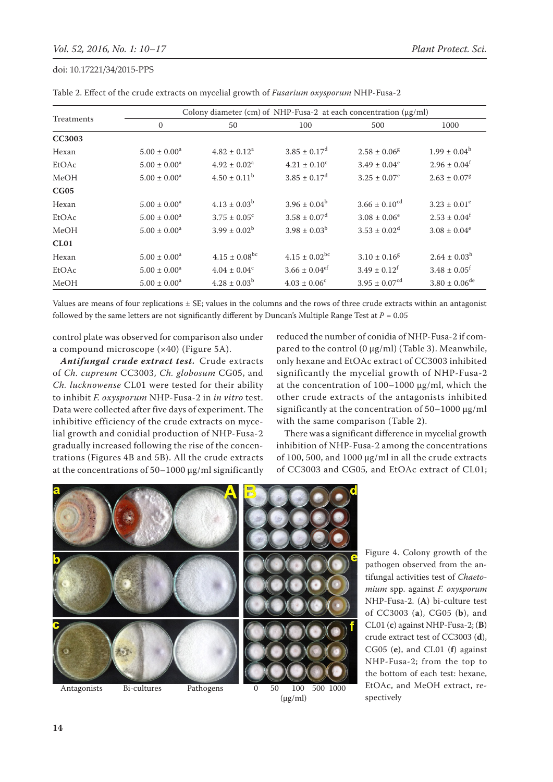|               | Colony diameter (cm) of NHP-Fusa-2 at each concentration $(\mu g/ml)$ |                               |                               |                               |                              |  |  |
|---------------|-----------------------------------------------------------------------|-------------------------------|-------------------------------|-------------------------------|------------------------------|--|--|
| Treatments    | $\mathbf{0}$                                                          | 50                            | 100                           | 500                           | 1000                         |  |  |
| <b>CC3003</b> |                                                                       |                               |                               |                               |                              |  |  |
| Hexan         | $5.00 \pm 0.00^a$                                                     | $4.82 \pm 0.12^a$             | $3.85 \pm 0.17$ <sup>d</sup>  | $2.58 \pm 0.06$ <sup>g</sup>  | $1.99 \pm 0.04^{\rm h}$      |  |  |
| EtOAc         | $5.00 \pm 0.00^a$                                                     | $4.92 \pm 0.02^a$             | $4.21 \pm 0.10^c$             | $3.49 \pm 0.04^e$             | $2.96 \pm 0.04^f$            |  |  |
| MeOH          | $5.00 \pm 0.00^a$                                                     | $4.50 \pm 0.11^b$             | $3.85 \pm 0.17$ <sup>d</sup>  | $3.25 \pm 0.07^e$             | $2.63 \pm 0.07$ <sup>g</sup> |  |  |
| CG05          |                                                                       |                               |                               |                               |                              |  |  |
| Hexan         | $5.00 \pm 0.00^a$                                                     | $4.13 \pm 0.03^b$             | $3.96 \pm 0.04^b$             | $3.66 \pm 0.10^{cd}$          | $3.23 \pm 0.01^e$            |  |  |
| EtOAc         | $5.00 \pm 0.00^a$                                                     | $3.75 \pm 0.05^{\circ}$       | $3.58 \pm 0.07$ <sup>d</sup>  | $3.08 \pm 0.06^e$             | $2.53 \pm 0.04^f$            |  |  |
| MeOH          | $5.00 \pm 0.00^a$                                                     | $3.99 \pm 0.02^b$             | $3.98 \pm 0.03^{\rm b}$       | $3.53 \pm 0.02^d$             | $3.08 \pm 0.04^e$            |  |  |
| CL01          |                                                                       |                               |                               |                               |                              |  |  |
| Hexan         | $5.00 \pm 0.00^a$                                                     | $4.15 \pm 0.08$ <sup>bc</sup> | $4.15 \pm 0.02$ <sup>bc</sup> | $3.10 \pm 0.16$ <sup>g</sup>  | $2.64 \pm 0.03^h$            |  |  |
| EtOAc         | $5.00 \pm 0.00^a$                                                     | $4.04 \pm 0.04^c$             | $3.66 \pm 0.04$ <sup>ef</sup> | $3.49 \pm 0.12^f$             | $3.48 \pm 0.05$ <sup>f</sup> |  |  |
| MeOH          | $5.00 \pm 0.00^a$                                                     | $4.28 \pm 0.03^b$             | $4.03 \pm 0.06^{\circ}$       | $3.95 \pm 0.07$ <sup>cd</sup> | $3.80 \pm 0.06^{\rm de}$     |  |  |

Table 2. Effect of the crude extracts on mycelial growth of *Fusarium oxysporum* NHP-Fusa-2

Values are means of four replications ± SE; values in the columns and the rows of three crude extracts within an antagonist followed by the same letters are not significantly different by Duncan's Multiple Range Test at  $P = 0.05$ 

control plate was observed for comparison also under a compound microscope (×40) (Figure 5A).

*Antifungal crude extract test.* Crude extracts of *Ch. cupreum* CC3003, *Ch. globosum* CG05, and *Ch. lucknowense* CL01 were tested for their ability to inhibit *F. oxysporum* NHP-Fusa-2 in *in vitro* test. Data were collected after five days of experiment. The inhibitive efficiency of the crude extracts on mycelial growth and conidial production of NHP-Fusa-2 gradually increased following the rise of the concentrations (Figures 4B and 5B). All the crude extracts at the concentrations of 50–1000 μg/ml significantly

reduced the number of conidia of NHP-Fusa-2 if compared to the control (0 μg/ml) (Table 3). Meanwhile, only hexane and EtOAc extract of CC3003 inhibited significantly the mycelial growth of NHP-Fusa-2 at the concentration of 100–1000 μg/ml, which the other crude extracts of the antagonists inhibited significantly at the concentration of 50–1000 μg/ml with the same comparison (Table 2).

There was a significant difference in mycelial growth inhibition of NHP-Fusa-2 among the concentrations of 100, 500, and 1000 μg/ml in all the crude extracts of CC3003 and CG05*,* and EtOAc extract of CL01;



Figure 4. Colony growth of the pathogen observed from the antifungal activities test of *Chaetomium* spp. against *F. oxysporum*  NHP-Fusa-2. (**A**) bi-culture test of CC3003 (**a**), CG05 (**b**), and CL01 (**c**) against NHP-Fusa-2; (**B**) crude extract test of CC3003 (**d**), CG05 (**e**), and CL01 (**f**) against NHP-Fusa-2; from the top to the bottom of each test: hexane, EtOAc, and MeOH extract, respectively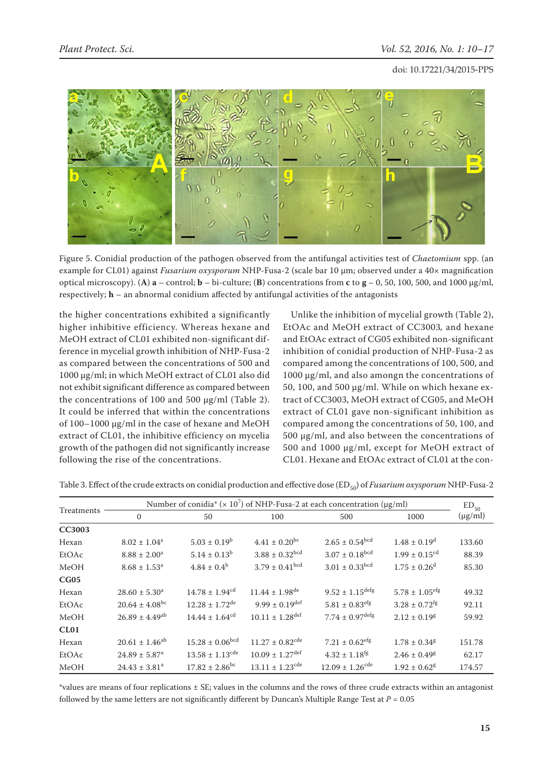

Figure 5. Conidial production of the pathogen observed from the antifungal activities test of *Chaetomium* spp. (an example for CL01) against *Fusarium oxysporum* NHP-Fusa-2 (scale bar 10 μm; observed under a 40× magnification optical microscopy). (A)  $\bf{a}$  – control;  $\bf{b}$  – bi-culture; (B) concentrations from  $\bf{c}$  to  $\bf{g}$  – 0, 50, 100, 500, and 1000  $\mu$ g/ml, respectively; **h** – an abnormal conidium affected by antifungal activities of the antagonists

the higher concentrations exhibited a significantly higher inhibitive efficiency. Whereas hexane and MeOH extract of CL01 exhibited non-significant difference in mycelial growth inhibition of NHP-Fusa-2 as compared between the concentrations of 500 and 1000 μg/ml; in which MeOH extract of CL01 also did not exhibit significant difference as compared between the concentrations of 100 and 500 μg/ml (Table 2). It could be inferred that within the concentrations of 100–1000 μg/ml in the case of hexane and MeOH extract of CL01, the inhibitive efficiency on mycelia growth of the pathogen did not significantly increase following the rise of the concentrations.

Unlike the inhibition of mycelial growth (Table 2), EtOAc and MeOH extract of CC3003*,* and hexane and EtOAc extract of CG05 exhibited non-significant inhibition of conidial production of NHP-Fusa-2 as compared among the concentrations of 100, 500, and 1000 µg/ml, and also amongn the concentrations of 50, 100, and 500 µg/ml. While on which hexane extract of CC3003, MeOH extract of CG05, and MeOH extract of CL01 gave non-significant inhibition as compared among the concentrations of 50, 100, and 500 µg/ml, and also between the concentrations of 500 and 1000 µg/ml, except for MeOH extract of CL01. Hexane and EtOAc extract of CL01 at the con-

| Treatments    | Number of conidia* ( $\times$ 10 <sup>7</sup> ) of NHP-Fusa-2 at each concentration ( $\mu$ g/ml) |                                 |                                 |                                 |                               |                           |
|---------------|---------------------------------------------------------------------------------------------------|---------------------------------|---------------------------------|---------------------------------|-------------------------------|---------------------------|
|               | $\mathbf{0}$                                                                                      | 50                              | 100                             | 500                             | 1000                          | $ED_{50}$<br>$(\mu g/ml)$ |
| <b>CC3003</b> |                                                                                                   |                                 |                                 |                                 |                               |                           |
| Hexan         | $8.02 \pm 1.04^a$                                                                                 | $5.03 \pm 0.19^{\rm b}$         | $4.41 \pm 0.20^{bc}$            | $2.65 \pm 0.54^{bcd}$           | $1.48 \pm 0.19$ <sup>d</sup>  | 133.60                    |
| EtOAc         | $8.88 \pm 2.00^a$                                                                                 | $5.14 \pm 0.13^b$               | $3.88 \pm 0.32^{\rm bcd}$       | $3.07 \pm 0.18^{bcd}$           | $1.99 \pm 0.15^{\text{cd}}$   | 88.39                     |
| MeOH          | $8.68 \pm 1.53^a$                                                                                 | $4.84 \pm 0.4^b$                | $3.79 \pm 0.41^{\rm bcd}$       | $3.01 \pm 0.33$ <sup>bcd</sup>  | $1.75 \pm 0.26$ <sup>d</sup>  | 85.30                     |
| CG05          |                                                                                                   |                                 |                                 |                                 |                               |                           |
| Hexan         | $28.60 \pm 5.30^a$                                                                                | $14.78 \pm 1.94$ <sup>cd</sup>  | $11.44 \pm 1.98$ <sup>de</sup>  | $9.52 \pm 1.15^{\text{defg}}$   | $5.78 \pm 1.05^{\text{eff}}$  | 49.32                     |
| EtOAc         | $20.64 \pm 4.08$ <sup>bc</sup>                                                                    | $12.28 \pm 1.72$ <sup>de</sup>  | $9.99 \pm 0.19^{\text{def}}$    | $5.81 \pm 0.83$ <sup>efg</sup>  | $3.28 \pm 0.72$ <sup>fg</sup> | 92.11                     |
| MeOH          | $26.89 \pm 4.49$ <sup>ab</sup>                                                                    | $14.44 \pm 1.64^{cd}$           | $10.11 \pm 1.28$ <sup>def</sup> | $7.74 \pm 0.97^{\rm defg}$      | $2.12 \pm 0.19$ <sup>g</sup>  | 59.92                     |
| CL01          |                                                                                                   |                                 |                                 |                                 |                               |                           |
| Hexan         | $20.61 \pm 1.46^{ab}$                                                                             | $15.28 \pm 0.06^{bcd}$          | $11.27 \pm 0.82$ <sup>cde</sup> | $7.21 \pm 0.62$ <sup>efg</sup>  | $1.78 \pm 0.34$ <sup>g</sup>  | 151.78                    |
| EtOAc         | $24.89 \pm 5.87$ <sup>a</sup>                                                                     | $13.58 \pm 1.13$ <sup>cde</sup> | $10.09 \pm 1.27$ <sup>def</sup> | $4.32 \pm 1.18$ <sup>fg</sup>   | $2.46 \pm 0.49$ <sup>g</sup>  | 62.17                     |
| MeOH          | $24.43 \pm 3.81$ <sup>a</sup>                                                                     | $17.82 \pm 2.86$ <sup>bc</sup>  | $13.11 \pm 1.23$ <sup>cde</sup> | $12.09 \pm 1.26$ <sup>cde</sup> | $1.92 \pm 0.62$ <sup>g</sup>  | 174.57                    |

Table 3. Effect of the crude extracts on conidial production and effective dose (ED<sub>50</sub>) of *Fusarium oxysporum* NHP-Fusa-2

\*values are means of four replications ± SE; values in the columns and the rows of three crude extracts within an antagonist followed by the same letters are not significantly different by Duncan's Multiple Range Test at  $P = 0.05$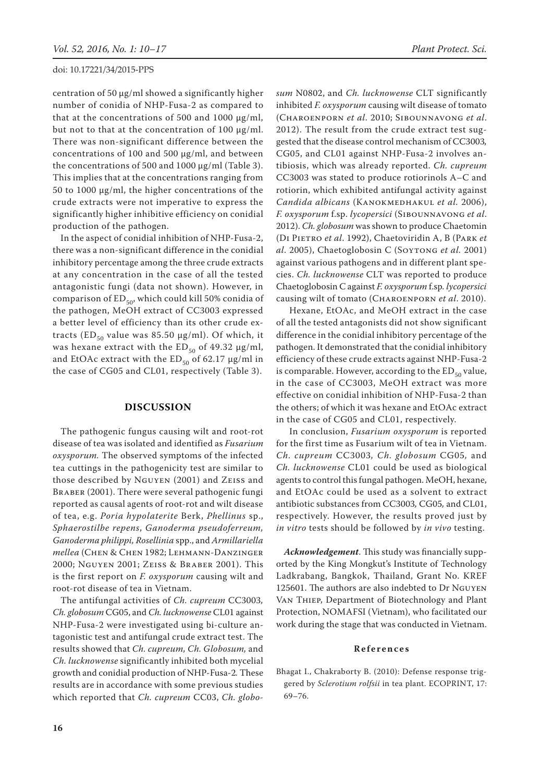centration of 50  $\mu$ g/ml showed a significantly higher number of conidia of NHP-Fusa-2 as compared to that at the concentrations of 500 and 1000  $\mu$ g/ml, but not to that at the concentration of 100 µg/ml. There was non-significant difference between the concentrations of 100 and 500 µg/ml, and between the concentrations of 500 and 1000 µg/ml (Table 3). This implies that at the concentrations ranging from 50 to 1000 µg/ml, the higher concentrations of the crude extracts were not imperative to express the significantly higher inhibitive efficiency on conidial production of the pathogen.

In the aspect of conidial inhibition of NHP-Fusa-2, there was a non-significant difference in the conidial inhibitory percentage among the three crude extracts at any concentration in the case of all the tested antagonistic fungi (data not shown). However, in comparison of  $ED_{50}$ , which could kill 50% conidia of the pathogen, MeOH extract of CC3003 expressed a better level of efficiency than its other crude extracts ( $ED_{50}$  value was 85.50  $\mu$ g/ml). Of which, it was hexane extract with the  $ED_{50}$  of 49.32  $\mu$ g/ml, and EtOAc extract with the  $ED_{50}$  of 62.17  $\mu$ g/ml in the case of CG05 and CL01, respectively (Table 3).

# **DISCUSSION**

The pathogenic fungus causing wilt and root-rot disease of tea was isolated and identified as *Fusarium oxysporum.* The observed symptoms of the infected tea cuttings in the pathogenicity test are similar to those described by Nguyen (2001) and Zeiss and BRABER (2001). There were several pathogenic fungi reported as causal agents of root-rot and wilt disease of tea, e.g. *Poria hypolaterite* Berk, *Phellinus* sp., *Sphaerostilbe repens*, *Ganoderma pseudoferreum, Ganoderma philippi, Rosellinia* spp., and *Armillariella mellea* (Chen & Chen 1982; Lehmann-Danzinger 2000; Nguyen 2001; Zeiss & Braber 2001). This is the first report on *F. oxysporum* causing wilt and root-rot disease of tea in Vietnam.

The antifungal activities of *Ch. cupreum* CC3003*, Ch. globosum* CG05, and *Ch. lucknowense* CL01 against NHP-Fusa-2 were investigated using bi-culture antagonistic test and antifungal crude extract test. The results showed that *Ch. cupreum, Ch. Globosum,* and *Ch. lucknowense* significantly inhibited both mycelial growth and conidial production of NHP-Fusa-2*.* These results are in accordance with some previous studies which reported that *Ch. cupreum* CC03, *Ch. globo-* *sum* N0802, and *Ch. lucknowense* CLT significantly inhibited *F. oxysporum* causing wilt disease of tomato (Charoenporn *et al*. 2010; Sibounnavong *et al*. 2012). The result from the crude extract test suggested that the disease control mechanism of CC3003*,*  CG05, and CL01 against NHP-Fusa-2 involves antibiosis, which was already reported. *Ch. cupreum*  CC3003 was stated to produce rotiorinols A–C and rotiorin, which exhibited antifungal activity against *Candida albicans* (Kanokmedhakul *et al.* 2006), *F. oxysporum* f.sp. *lycopersici* (Sibounnavong *et al*. 2012). *Ch. globosum* was shown to produce Chaetomin (Di Pietro *et al*. 1992), Chaetoviridin A, B (Park *et al*. 2005), Chaetoglobosin C (Soytong *et al.* 2001) against various pathogens and in different plant species. *Ch. lucknowense* CLT was reported to produce Chaetoglobosin C against *F. oxysporum* f.sp*. lycopersici*  causing wilt of tomato (Charoenporn *et al*. 2010).

Hexane, EtOAc, and MeOH extract in the case of all the tested antagonists did not show significant difference in the conidial inhibitory percentage of the pathogen. It demonstrated that the conidial inhibitory efficiency of these crude extracts against NHP-Fusa-2 is comparable. However, according to the  $ED_{50}$  value, in the case of CC3003, MeOH extract was more effective on conidial inhibition of NHP-Fusa-2 than the others; of which it was hexane and EtOAc extract in the case of CG05 and CL01, respectively.

In conclusion, *Fusarium oxysporum* is reported for the first time as Fusarium wilt of tea in Vietnam. *Ch. cupreum* CC3003*, Ch. globosum* CG05*,* and *Ch. lucknowense* CL01 could be used as biological agents to control this fungal pathogen. MeOH, hexane, and EtOAc could be used as a solvent to extract antibiotic substances from CC3003*,* CG05*,* and CL01, respectively. However, the results proved just by *in vitro* tests should be followed by *in vivo* testing.

*Acknowledgement*. This study was financially supported by the King Mongkut's Institute of Technology Ladkrabang, Bangkok, Thailand, Grant No. KREF 125601. The authors are also indebted to Dr Nguyen Van Thiep, Department of Biotechnology and Plant Protection, NOMAFSI (Vietnam), who facilitated our work during the stage that was conducted in Vietnam.

### **References**

Bhagat I., Chakraborty B. (2010): Defense response triggered by *Sclerotium rolfsii* in tea plant. ECOPRINT, 17: 69–76.